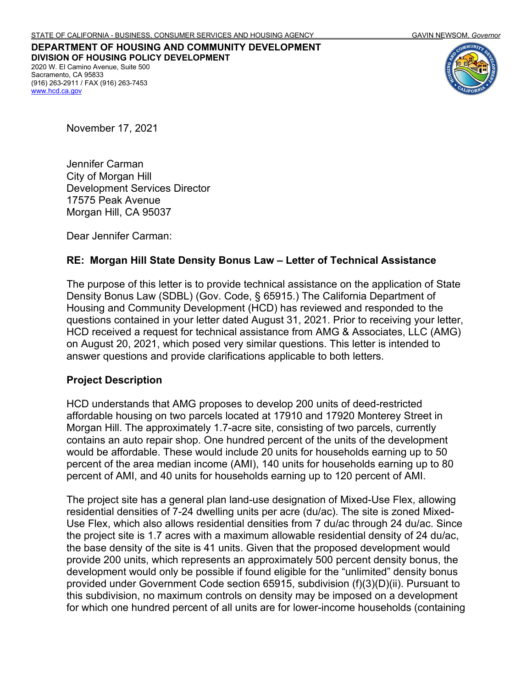**DEPARTMENT OF HOUSING AND COMMUNITY DEVELOPMENT DIVISION OF HOUSING POLICY DEVELOPMENT** 2020 W. El Camino Avenue, Suite 500 Sacramento, CA 95833 (916) 263-2911 / FAX (916) 263-7453 [www.hcd.ca.gov](http://www.hcd.ca.gov/)



November 17, 2021

Jennifer Carman City of Morgan Hill Development Services Director 17575 Peak Avenue Morgan Hill, CA 95037

Dear Jennifer Carman:

## **RE: Morgan Hill State Density Bonus Law – Letter of Technical Assistance**

The purpose of this letter is to provide technical assistance on the application of State Density Bonus Law (SDBL) (Gov. Code, § 65915.) The California Department of Housing and Community Development (HCD) has reviewed and responded to the questions contained in your letter dated August 31, 2021. Prior to receiving your letter, HCD received a request for technical assistance from AMG & Associates, LLC (AMG) on August 20, 2021, which posed very similar questions. This letter is intended to answer questions and provide clarifications applicable to both letters.

## **Project Description**

HCD understands that AMG proposes to develop 200 units of deed-restricted affordable housing on two parcels located at 17910 and 17920 Monterey Street in Morgan Hill. The approximately 1.7-acre site, consisting of two parcels, currently contains an auto repair shop. One hundred percent of the units of the development would be affordable. These would include 20 units for households earning up to 50 percent of the area median income (AMI), 140 units for households earning up to 80 percent of AMI, and 40 units for households earning up to 120 percent of AMI.

The project site has a general plan land-use designation of Mixed-Use Flex, allowing residential densities of 7-24 dwelling units per acre (du/ac). The site is zoned Mixed-Use Flex, which also allows residential densities from 7 du/ac through 24 du/ac. Since the project site is 1.7 acres with a maximum allowable residential density of 24 du/ac, the base density of the site is 41 units. Given that the proposed development would provide 200 units, which represents an approximately 500 percent density bonus, the development would only be possible if found eligible for the "unlimited" density bonus provided under Government Code section 65915, subdivision (f)(3)(D)(ii). Pursuant to this subdivision, no maximum controls on density may be imposed on a development for which one hundred percent of all units are for lower-income households (containing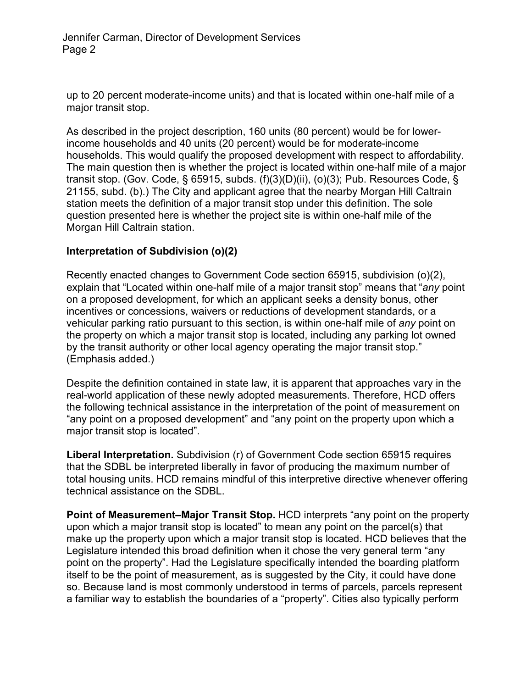up to 20 percent moderate-income units) and that is located within one-half mile of a major transit stop.

As described in the project description, 160 units (80 percent) would be for lowerincome households and 40 units (20 percent) would be for moderate-income households. This would qualify the proposed development with respect to affordability. The main question then is whether the project is located within one-half mile of a major transit stop. (Gov. Code, § 65915, subds. (f)(3)(D)(ii), (o)(3); Pub. Resources Code, § 21155, subd. (b).) The City and applicant agree that the nearby Morgan Hill Caltrain station meets the definition of a major transit stop under this definition. The sole question presented here is whether the project site is within one-half mile of the Morgan Hill Caltrain station.

## **Interpretation of Subdivision (o)(2)**

Recently enacted changes to Government Code section 65915, subdivision (o)(2), explain that "Located within one-half mile of a major transit stop" means that "*any* point on a proposed development, for which an applicant seeks a density bonus, other incentives or concessions, waivers or reductions of development standards, or a vehicular parking ratio pursuant to this section, is within one-half mile of *any* point on the property on which a major transit stop is located, including any parking lot owned by the transit authority or other local agency operating the major transit stop." (Emphasis added.)

Despite the definition contained in state law, it is apparent that approaches vary in the real-world application of these newly adopted measurements. Therefore, HCD offers the following technical assistance in the interpretation of the point of measurement on "any point on a proposed development" and "any point on the property upon which a major transit stop is located".

**Liberal Interpretation.** Subdivision (r) of Government Code section 65915 requires that the SDBL be interpreted liberally in favor of producing the maximum number of total housing units. HCD remains mindful of this interpretive directive whenever offering technical assistance on the SDBL.

**Point of Measurement–Major Transit Stop.** HCD interprets "any point on the property upon which a major transit stop is located" to mean any point on the parcel(s) that make up the property upon which a major transit stop is located. HCD believes that the Legislature intended this broad definition when it chose the very general term "any point on the property". Had the Legislature specifically intended the boarding platform itself to be the point of measurement, as is suggested by the City, it could have done so. Because land is most commonly understood in terms of parcels, parcels represent a familiar way to establish the boundaries of a "property". Cities also typically perform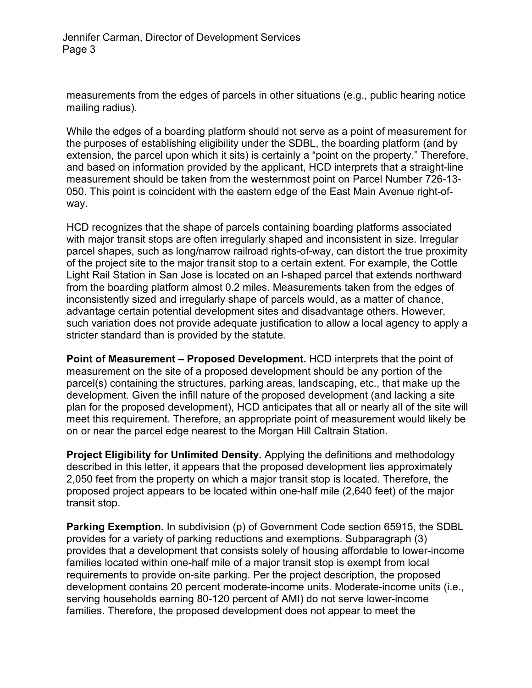measurements from the edges of parcels in other situations (e.g., public hearing notice mailing radius).

While the edges of a boarding platform should not serve as a point of measurement for the purposes of establishing eligibility under the SDBL, the boarding platform (and by extension, the parcel upon which it sits) is certainly a "point on the property." Therefore, and based on information provided by the applicant, HCD interprets that a straight-line measurement should be taken from the westernmost point on Parcel Number 726-13- 050. This point is coincident with the eastern edge of the East Main Avenue right-ofway.

HCD recognizes that the shape of parcels containing boarding platforms associated with major transit stops are often irregularly shaped and inconsistent in size. Irregular parcel shapes, such as long/narrow railroad rights-of-way, can distort the true proximity of the project site to the major transit stop to a certain extent. For example, the Cottle Light Rail Station in San Jose is located on an l-shaped parcel that extends northward from the boarding platform almost 0.2 miles. Measurements taken from the edges of inconsistently sized and irregularly shape of parcels would, as a matter of chance, advantage certain potential development sites and disadvantage others. However, such variation does not provide adequate justification to allow a local agency to apply a stricter standard than is provided by the statute.

**Point of Measurement – Proposed Development.** HCD interprets that the point of measurement on the site of a proposed development should be any portion of the parcel(s) containing the structures, parking areas, landscaping, etc., that make up the development. Given the infill nature of the proposed development (and lacking a site plan for the proposed development), HCD anticipates that all or nearly all of the site will meet this requirement. Therefore, an appropriate point of measurement would likely be on or near the parcel edge nearest to the Morgan Hill Caltrain Station.

**Project Eligibility for Unlimited Density.** Applying the definitions and methodology described in this letter, it appears that the proposed development lies approximately 2,050 feet from the property on which a major transit stop is located. Therefore, the proposed project appears to be located within one-half mile (2,640 feet) of the major transit stop.

**Parking Exemption.** In subdivision (p) of Government Code section 65915, the SDBL provides for a variety of parking reductions and exemptions. Subparagraph (3) provides that a development that consists solely of housing affordable to lower-income families located within one-half mile of a major transit stop is exempt from local requirements to provide on-site parking. Per the project description, the proposed development contains 20 percent moderate-income units. Moderate-income units (i.e., serving households earning 80-120 percent of AMI) do not serve lower-income families. Therefore, the proposed development does not appear to meet the